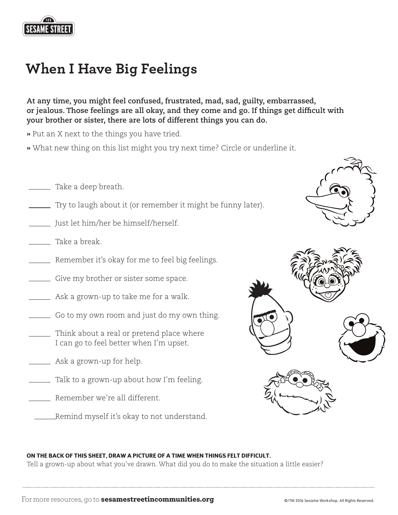

## When I Have Big Feelings in the Big Feelings in the Big Feelings in the Big Feelings in the Big Feelings in the **When I Have Big Feelings**

**At any time, you might feel confused, frustrated, mad, sad, guilty, embarrassed, or jealous. Those feelings are all okay, and they come and go. If things get difficult with your brother or sister, there are lots of different things you can do.**

**»** Put an X next to the things you have tried.

- **»** What new thing on this list might you try next time? Circle or underline it.
- Take a deep breath.
- Try to laugh about it (or remember it might be funny later).
- Just let him/her be himself/herself.
- Take a break.
- Remember it's okay for me to feel big feelings.
- Give my brother or sister some space.
- Ask a grown-up to take me for a walk.
- Go to my own room and just do my own thing.
- Think about a real or pretend place where I can go to feel better when I'm upset.
- Ask a grown-up for help.
- Talk to a grown-up about how I'm feeling.
- Remember we're all different.
	- Remind myself it's okay to not understand.





#### ON THE BACK OF THIS SHEET, DRAW A PICTURE OF A TIME WHEN THINGS FELT DIFFICULT.

Tell a grown-up about what you've drawn. What did you do to make the situation a little easier?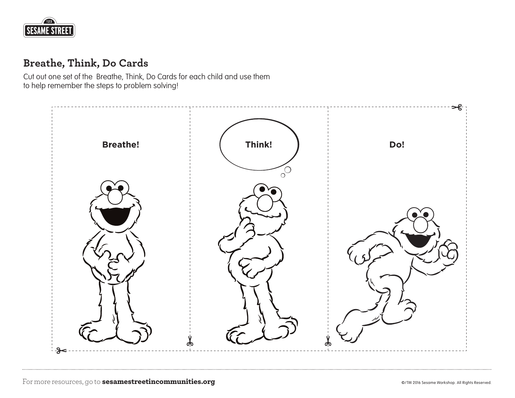

### **Breathe, Think, Do Cards**

Cut out one set of the Breathe, Think, Do Cards for each child and use them to help remember the steps to problem solving!

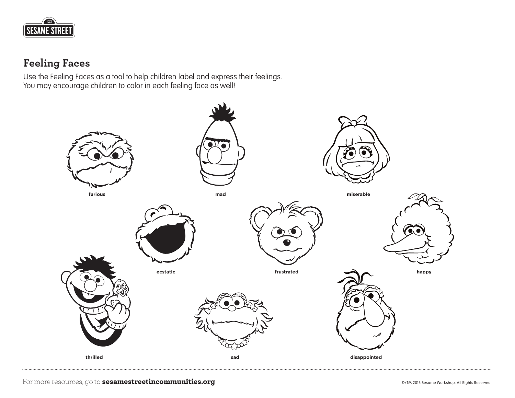

### **Feeling Faces**

Use the Feeling Faces as a tool to help children label and express their feelings. You may encourage children to color in each feeling face as well!